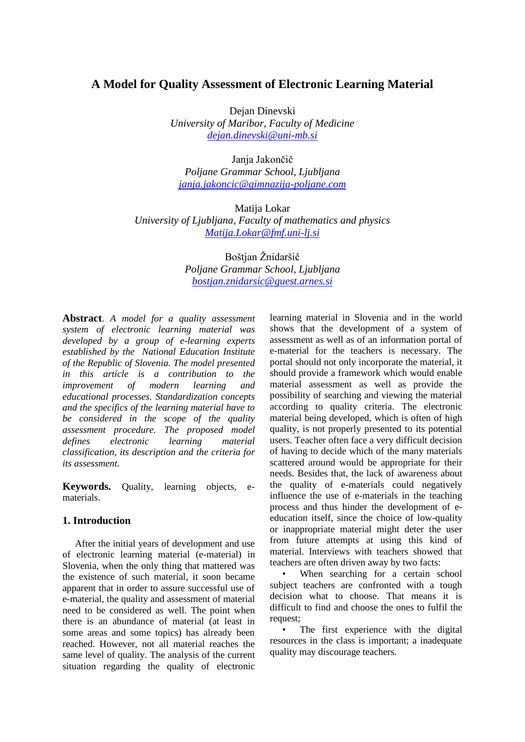## **A Model for Quality Assessment of Electronic Learning Material**

Dejan Dinevski

*University of Maribor, Faculty of Medicine [dejan.dinevski@uni-mb.si](mailto:dejan.dinevski@uni-mb.si)*

Janja Jakončič *Poljane Grammar School, Ljubljana [janja.jakoncic@gimnazija-poljane.com](mailto:janja.jakoncic@gimnazija-poljane.com)*

Matija Lokar *University of Ljubljana, Faculty of mathematics and physics [Matija.Lokar@fmf.uni-lj.si](mailto:Matija.Lokar@fmf.uni-lj.si)*

> Boštian Žnidaršič *Poljane Grammar School, Ljubljana [bostjan.znidarsic@guest.arnes.si](mailto:bostjan.znidarsic@guest.arnes.si)*

**Abstract**. *A model for a quality assessment system of electronic learning material was developed by a group of e-learning experts established by the National Education Institute of the Republic of Slovenia. The model presented in this article is a contribution to the improvement of modern learning and educational processes. Standardization concepts and the specifics of the learning material have to be considered in the scope of the quality assessment procedure. The proposed model defines electronic learning material classification, its description and the criteria for its assessment.*

**Keywords.** Quality, learning objects, ematerials.

### **1. Introduction**

After the initial years of development and use of electronic learning material (e-material) in Slovenia, when the only thing that mattered was the existence of such material, it soon became apparent that in order to assure successful use of e-material, the quality and assessment of material need to be considered as well. The point when there is an abundance of material (at least in some areas and some topics) has already been reached. However, not all material reaches the same level of quality. The analysis of the current situation regarding the quality of electronic

learning material in Slovenia and in the world shows that the development of a system of assessment as well as of an information portal of e-material for the teachers is necessary. The portal should not only incorporate the material, it should provide a framework which would enable material assessment as well as provide the possibility of searching and viewing the material according to quality criteria. The electronic material being developed, which is often of high quality, is not properly presented to its potential users. Teacher often face a very difficult decision of having to decide which of the many materials scattered around would be appropriate for their needs. Besides that, the lack of awareness about the quality of e-materials could negatively influence the use of e-materials in the teaching process and thus hinder the development of eeducation itself, since the choice of low-quality or inappropriate material might deter the user from future attempts at using this kind of material. Interviews with teachers showed that teachers are often driven away by two facts:

When searching for a certain school subject teachers are confronted with a tough decision what to choose. That means it is difficult to find and choose the ones to fulfil the request;

The first experience with the digital resources in the class is important; a inadequate quality may discourage teachers.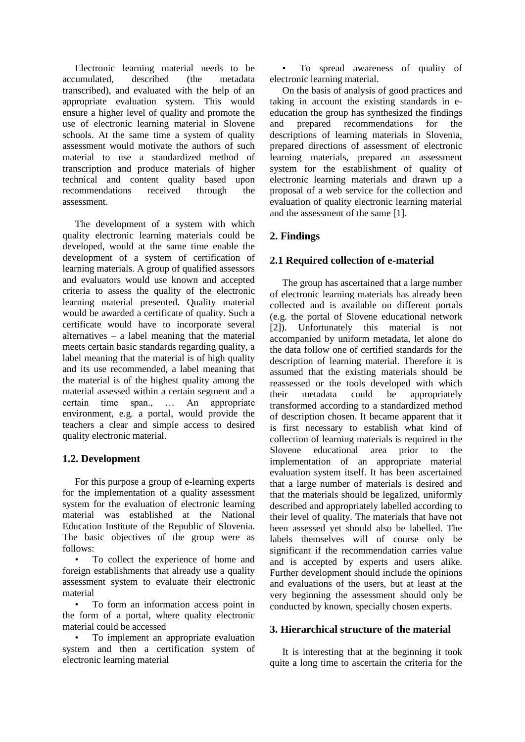Electronic learning material needs to be accumulated, described (the metadata transcribed), and evaluated with the help of an appropriate evaluation system. This would ensure a higher level of quality and promote the use of electronic learning material in Slovene schools. At the same time a system of quality assessment would motivate the authors of such material to use a standardized method of transcription and produce materials of higher technical and content quality based upon recommendations received through the assessment.

The development of a system with which quality electronic learning materials could be developed, would at the same time enable the development of a system of certification of learning materials. A group of qualified assessors and evaluators would use known and accepted criteria to assess the quality of the electronic learning material presented. Quality material would be awarded a certificate of quality. Such a certificate would have to incorporate several alternatives – a label meaning that the material meets certain basic standards regarding quality, a label meaning that the material is of high quality and its use recommended, a label meaning that the material is of the highest quality among the material assessed within a certain segment and a certain time span., … An appropriate environment, e.g. a portal, would provide the teachers a clear and simple access to desired quality electronic material.

## **1.2. Development**

For this purpose a group of e-learning experts for the implementation of a quality assessment system for the evaluation of electronic learning material was established at the National Education Institute of the Republic of Slovenia. The basic objectives of the group were as follows:

To collect the experience of home and foreign establishments that already use a quality assessment system to evaluate their electronic material

• To form an information access point in the form of a portal, where quality electronic material could be accessed

• To implement an appropriate evaluation system and then a certification system of electronic learning material

• To spread awareness of quality of electronic learning material.

On the basis of analysis of good practices and taking in account the existing standards in eeducation the group has synthesized the findings and prepared recommendations for the descriptions of learning materials in Slovenia, prepared directions of assessment of electronic learning materials, prepared an assessment system for the establishment of quality of electronic learning materials and drawn up a proposal of a web service for the collection and evaluation of quality electronic learning material and the assessment of the same [1].

# **2. Findings**

## **2.1 Required collection of e-material**

The group has ascertained that a large number of electronic learning materials has already been collected and is available on different portals (e.g. the portal of Slovene educational network [2]). Unfortunately this material is not accompanied by uniform metadata, let alone do the data follow one of certified standards for the description of learning material. Therefore it is assumed that the existing materials should be reassessed or the tools developed with which their metadata could be appropriately transformed according to a standardized method of description chosen. It became apparent that it is first necessary to establish what kind of collection of learning materials is required in the Slovene educational area prior to the implementation of an appropriate material evaluation system itself. It has been ascertained that a large number of materials is desired and that the materials should be legalized, uniformly described and appropriately labelled according to their level of quality. The materials that have not been assessed yet should also be labelled. The labels themselves will of course only be significant if the recommendation carries value and is accepted by experts and users alike. Further development should include the opinions and evaluations of the users, but at least at the very beginning the assessment should only be conducted by known, specially chosen experts.

## **3. Hierarchical structure of the material**

It is interesting that at the beginning it took quite a long time to ascertain the criteria for the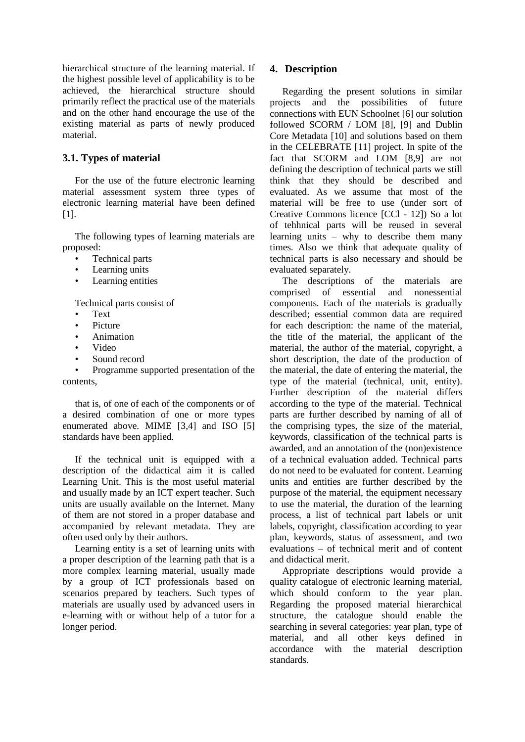hierarchical structure of the learning material. If the highest possible level of applicability is to be achieved, the hierarchical structure should primarily reflect the practical use of the materials and on the other hand encourage the use of the existing material as parts of newly produced material.

## **3.1. Types of material**

For the use of the future electronic learning material assessment system three types of electronic learning material have been defined [1].

The following types of learning materials are proposed:

- Technical parts
- Learning units
- Learning entities

Technical parts consist of

- Text
- Picture
- Animation
- Video
- Sound record

• Programme supported presentation of the contents,

that is, of one of each of the components or of a desired combination of one or more types enumerated above. MIME [3,4] and ISO [5] standards have been applied.

If the technical unit is equipped with a description of the didactical aim it is called Learning Unit. This is the most useful material and usually made by an ICT expert teacher. Such units are usually available on the Internet. Many of them are not stored in a proper database and accompanied by relevant metadata. They are often used only by their authors.

Learning entity is a set of learning units with a proper description of the learning path that is a more complex learning material, usually made by a group of ICT professionals based on scenarios prepared by teachers. Such types of materials are usually used by advanced users in e-learning with or without help of a tutor for a longer period.

## **4. Description**

Regarding the present solutions in similar projects and the possibilities of future connections with EUN Schoolnet [6] our solution followed SCORM / LOM [8], [9] and Dublin Core Metadata [10] and solutions based on them in the CELEBRATE [11] project. In spite of the fact that SCORM and LOM [8,9] are not defining the description of technical parts we still think that they should be described and evaluated. As we assume that most of the material will be free to use (under sort of Creative Commons licence [CCl - 12]) So a lot of tehhnical parts will be reused in several learning units – why to describe them many times. Also we think that adequate quality of technical parts is also necessary and should be evaluated separately.

The descriptions of the materials are comprised of essential and nonessential components. Each of the materials is gradually described; essential common data are required for each description: the name of the material, the title of the material, the applicant of the material, the author of the material, copyright, a short description, the date of the production of the material, the date of entering the material, the type of the material (technical, unit, entity). Further description of the material differs according to the type of the material. Technical parts are further described by naming of all of the comprising types, the size of the material, keywords, classification of the technical parts is awarded, and an annotation of the (non)existence of a technical evaluation added. Technical parts do not need to be evaluated for content. Learning units and entities are further described by the purpose of the material, the equipment necessary to use the material, the duration of the learning process, a list of technical part labels or unit labels, copyright, classification according to year plan, keywords, status of assessment, and two evaluations – of technical merit and of content and didactical merit.

Appropriate descriptions would provide a quality catalogue of electronic learning material, which should conform to the year plan. Regarding the proposed material hierarchical structure, the catalogue should enable the searching in several categories: year plan, type of material, and all other keys defined in accordance with the material description standards.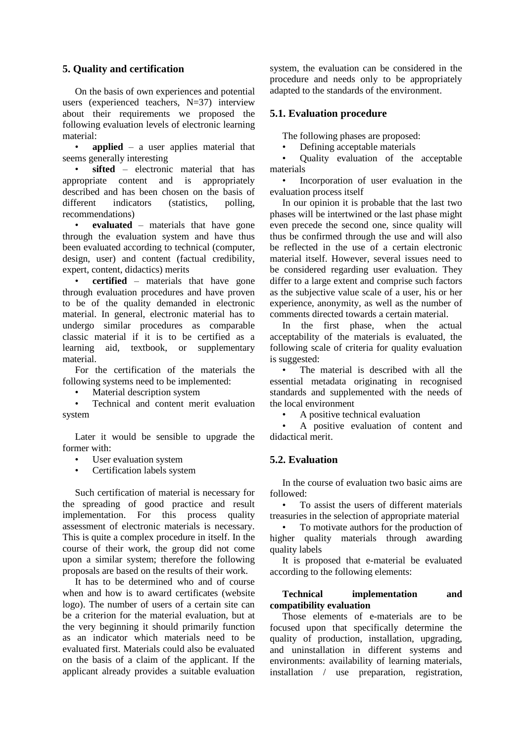## **5. Quality and certification**

On the basis of own experiences and potential users (experienced teachers, N=37) interview about their requirements we proposed the following evaluation levels of electronic learning material:

• **applied** – a user applies material that seems generally interesting

sifted – electronic material that has appropriate content and is appropriately described and has been chosen on the basis of different indicators (statistics, polling, recommendations)

• **evaluated** – materials that have gone through the evaluation system and have thus been evaluated according to technical (computer, design, user) and content (factual credibility, expert, content, didactics) merits

**certified** – materials that have gone through evaluation procedures and have proven to be of the quality demanded in electronic material. In general, electronic material has to undergo similar procedures as comparable classic material if it is to be certified as a learning aid, textbook, or supplementary material.

For the certification of the materials the following systems need to be implemented:

• Material description system

• Technical and content merit evaluation system

Later it would be sensible to upgrade the former with:

- User evaluation system
- Certification labels system

Such certification of material is necessary for the spreading of good practice and result implementation. For this process quality assessment of electronic materials is necessary. This is quite a complex procedure in itself. In the course of their work, the group did not come upon a similar system; therefore the following proposals are based on the results of their work.

It has to be determined who and of course when and how is to award certificates (website logo). The number of users of a certain site can be a criterion for the material evaluation, but at the very beginning it should primarily function as an indicator which materials need to be evaluated first. Materials could also be evaluated on the basis of a claim of the applicant. If the applicant already provides a suitable evaluation

system, the evaluation can be considered in the procedure and needs only to be appropriately adapted to the standards of the environment.

### **5.1. Evaluation procedure**

The following phases are proposed:

• Defining acceptable materials

• Quality evaluation of the acceptable materials

• Incorporation of user evaluation in the evaluation process itself

In our opinion it is probable that the last two phases will be intertwined or the last phase might even precede the second one, since quality will thus be confirmed through the use and will also be reflected in the use of a certain electronic material itself. However, several issues need to be considered regarding user evaluation. They differ to a large extent and comprise such factors as the subjective value scale of a user, his or her experience, anonymity, as well as the number of comments directed towards a certain material.

In the first phase, when the actual acceptability of the materials is evaluated, the following scale of criteria for quality evaluation is suggested:

The material is described with all the essential metadata originating in recognised standards and supplemented with the needs of the local environment

• A positive technical evaluation

• A positive evaluation of content and didactical merit.

### **5.2. Evaluation**

In the course of evaluation two basic aims are followed:

• To assist the users of different materials treasuries in the selection of appropriate material

• To motivate authors for the production of higher quality materials through awarding quality labels

It is proposed that e-material be evaluated according to the following elements:

#### **Technical implementation and compatibility evaluation**

Those elements of e-materials are to be focused upon that specifically determine the quality of production, installation, upgrading, and uninstallation in different systems and environments: availability of learning materials, installation / use preparation, registration,